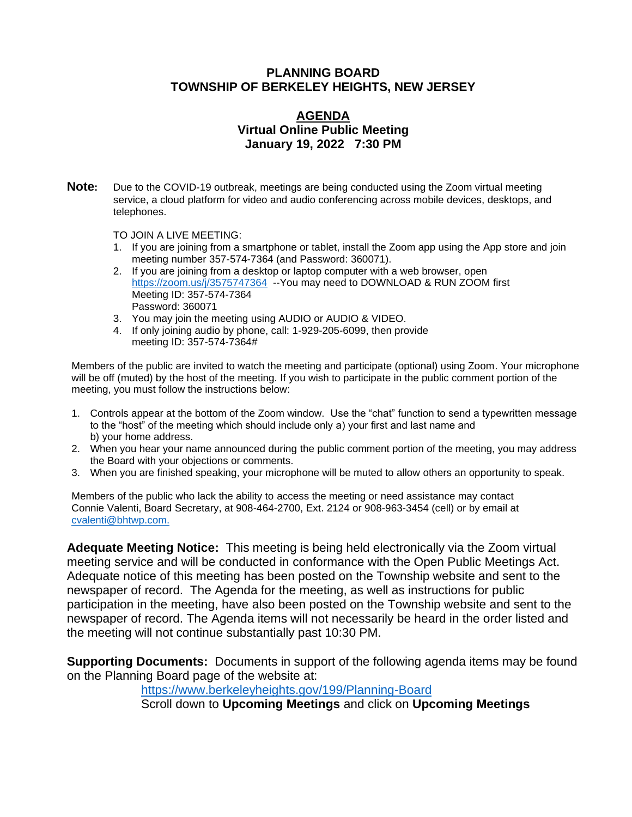#### **PLANNING BOARD TOWNSHIP OF BERKELEY HEIGHTS, NEW JERSEY**

## **AGENDA Virtual Online Public Meeting January 19, 2022 7:30 PM**

**Note:** Due to the COVID-19 outbreak, meetings are being conducted using the Zoom virtual meeting service, a cloud platform for video and audio conferencing across mobile devices, desktops, and telephones.

TO JOIN A LIVE MEETING:

- 1. If you are joining from a smartphone or tablet, install the Zoom app using the App store and join meeting number 357-574-7364 (and Password: 360071).
- 2. If you are joining from a desktop or laptop computer with a web browser, open <https://zoom.us/j/3575747364>-- You may need to DOWNLOAD & RUN ZOOM first Meeting ID: 357-574-7364 Password: 360071
- 3. You may join the meeting using AUDIO or AUDIO & VIDEO.
- 4. If only joining audio by phone, call: 1-929-205-6099, then provide meeting ID: 357-574-7364#

Members of the public are invited to watch the meeting and participate (optional) using Zoom. Your microphone will be off (muted) by the host of the meeting. If you wish to participate in the public comment portion of the meeting, you must follow the instructions below:

- 1. Controls appear at the bottom of the Zoom window. Use the "chat" function to send a typewritten message to the "host" of the meeting which should include only a) your first and last name and b) your home address.
- 2. When you hear your name announced during the public comment portion of the meeting, you may address the Board with your objections or comments.
- 3. When you are finished speaking, your microphone will be muted to allow others an opportunity to speak.

Members of the public who lack the ability to access the meeting or need assistance may contact Connie Valenti, Board Secretary, at 908-464-2700, Ext. 2124 or 908-963-3454 (cell) or by email at [cvalenti@bhtwp.com.](mailto:cvalenti@bhtwp.com)

**Adequate Meeting Notice:** This meeting is being held electronically via the Zoom virtual meeting service and will be conducted in conformance with the Open Public Meetings Act. Adequate notice of this meeting has been posted on the Township website and sent to the newspaper of record. The Agenda for the meeting, as well as instructions for public participation in the meeting, have also been posted on the Township website and sent to the newspaper of record. The Agenda items will not necessarily be heard in the order listed and the meeting will not continue substantially past 10:30 PM.

**Supporting Documents:** Documents in support of the following agenda items may be found on the Planning Board page of the website at:

<https://www.berkeleyheights.gov/199/Planning-Board>

Scroll down to **Upcoming Meetings** and click on **Upcoming Meetings**